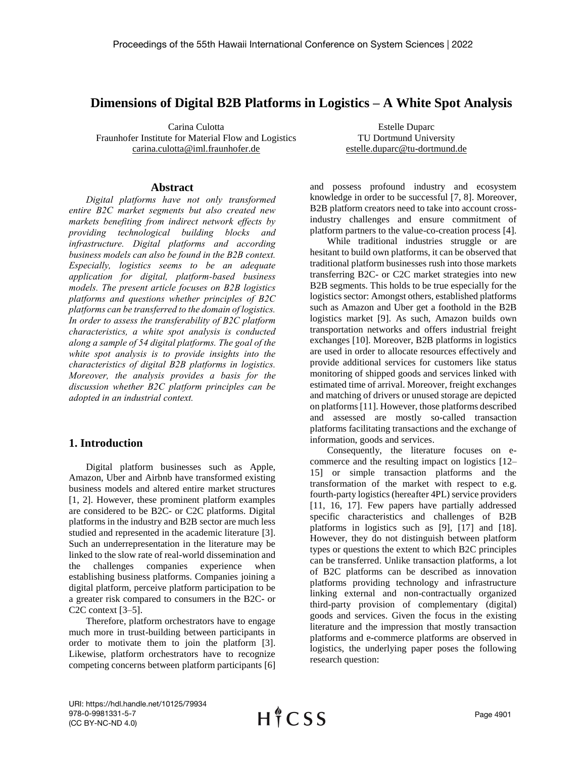# **Dimensions of Digital B2B Platforms in Logistics – A White Spot Analysis**

Carina Culotta Fraunhofer Institute for Material Flow and Logistics carina.culotta@iml.fraunhofer.de

Estelle Duparc TU Dortmund University estelle.duparc@tu-dortmund.de

#### **Abstract**

*Digital platforms have not only transformed entire B2C market segments but also created new markets benefiting from indirect network effects by providing technological building blocks and infrastructure. Digital platforms and according business models can also be found in the B2B context. Especially, logistics seems to be an adequate application for digital, platform-based business models. The present article focuses on B2B logistics platforms and questions whether principles of B2C platforms can be transferred to the domain of logistics. In order to assess the transferability of B2C platform characteristics, a white spot analysis is conducted along a sample of 54 digital platforms. The goal of the white spot analysis is to provide insights into the characteristics of digital B2B platforms in logistics. Moreover, the analysis provides a basis for the discussion whether B2C platform principles can be adopted in an industrial context.* 

## **1. Introduction**

Digital platform businesses such as Apple, Amazon, Uber and Airbnb have transformed existing business models and altered entire market structures [1, 2]. However, these prominent platform examples are considered to be B2C- or C2C platforms. Digital platforms in the industry and B2B sector are much less studied and represented in the academic literature [3]. Such an underrepresentation in the literature may be linked to the slow rate of real-world dissemination and the challenges companies experience when establishing business platforms. Companies joining a digital platform, perceive platform participation to be a greater risk compared to consumers in the B2C- or C2C context [3–5].

Therefore, platform orchestrators have to engage much more in trust-building between participants in order to motivate them to join the platform [3]. Likewise, platform orchestrators have to recognize competing concerns between platform participants [6]

and possess profound industry and ecosystem knowledge in order to be successful [7, 8]. Moreover, B2B platform creators need to take into account crossindustry challenges and ensure commitment of platform partners to the value-co-creation process [4].

While traditional industries struggle or are hesitant to build own platforms, it can be observed that traditional platform businesses rush into those markets transferring B2C- or C2C market strategies into new B2B segments. This holds to be true especially for the logistics sector: Amongst others, established platforms such as Amazon and Uber get a foothold in the B2B logistics market [9]. As such, Amazon builds own transportation networks and offers industrial freight exchanges [10]. Moreover, B2B platforms in logistics are used in order to allocate resources effectively and provide additional services for customers like status monitoring of shipped goods and services linked with estimated time of arrival. Moreover, freight exchanges and matching of drivers or unused storage are depicted on platforms [11]. However, those platforms described and assessed are mostly so-called transaction platforms facilitating transactions and the exchange of information, goods and services.

Consequently, the literature focuses on ecommerce and the resulting impact on logistics [12– 15] or simple transaction platforms and the transformation of the market with respect to e.g. fourth-party logistics(hereafter 4PL) service providers [11, 16, 17]. Few papers have partially addressed specific characteristics and challenges of B2B platforms in logistics such as [9], [17] and [18]. However, they do not distinguish between platform types or questions the extent to which B2C principles can be transferred. Unlike transaction platforms, a lot of B2C platforms can be described as innovation platforms providing technology and infrastructure linking external and non-contractually organized third-party provision of complementary (digital) goods and services. Given the focus in the existing literature and the impression that mostly transaction platforms and e-commerce platforms are observed in logistics, the underlying paper poses the following research question:

URI: https://hdl.handle.net/10125/79934 978-0-9981331-5-7 (CC BY-NC-ND 4.0)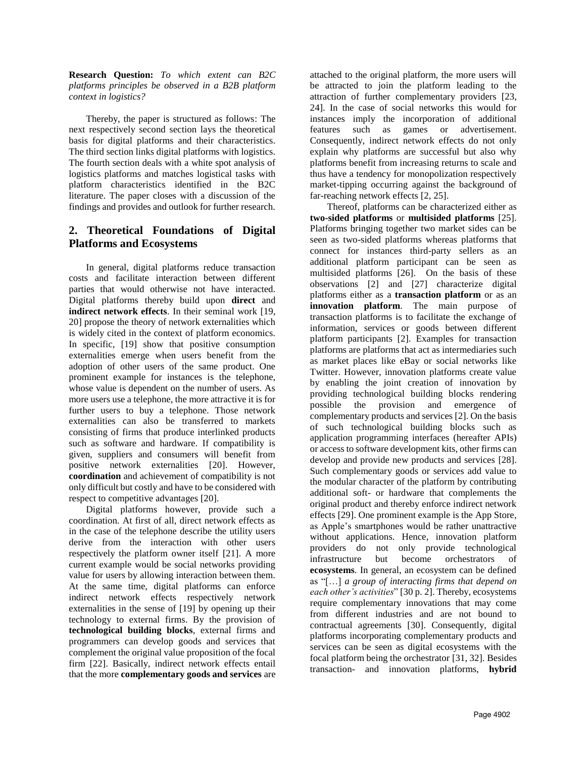**Research Question:** *To which extent can B2C platforms principles be observed in a B2B platform context in logistics?*

Thereby, the paper is structured as follows: The next respectively second section lays the theoretical basis for digital platforms and their characteristics. The third section links digital platforms with logistics. The fourth section deals with a white spot analysis of logistics platforms and matches logistical tasks with platform characteristics identified in the B2C literature. The paper closes with a discussion of the findings and provides and outlook for further research.

# **2. Theoretical Foundations of Digital Platforms and Ecosystems**

In general, digital platforms reduce transaction costs and facilitate interaction between different parties that would otherwise not have interacted. Digital platforms thereby build upon **direct** and **indirect network effects**. In their seminal work [19, 20] propose the theory of network externalities which is widely cited in the context of platform economics. In specific, [19] show that positive consumption externalities emerge when users benefit from the adoption of other users of the same product. One prominent example for instances is the telephone, whose value is dependent on the number of users. As more users use a telephone, the more attractive it is for further users to buy a telephone. Those network externalities can also be transferred to markets consisting of firms that produce interlinked products such as software and hardware. If compatibility is given, suppliers and consumers will benefit from positive network externalities [20]. However, **coordination** and achievement of compatibility is not only difficult but costly and have to be considered with respect to competitive advantages [20].

Digital platforms however, provide such a coordination. At first of all, direct network effects as in the case of the telephone describe the utility users derive from the interaction with other users respectively the platform owner itself [21]. A more current example would be social networks providing value for users by allowing interaction between them. At the same time, digital platforms can enforce indirect network effects respectively network externalities in the sense of [19] by opening up their technology to external firms. By the provision of **technological building blocks**, external firms and programmers can develop goods and services that complement the original value proposition of the focal firm [22]. Basically, indirect network effects entail that the more **complementary goods and services** are

attached to the original platform, the more users will be attracted to join the platform leading to the attraction of further complementary providers [23, 24]. In the case of social networks this would for instances imply the incorporation of additional features such as games or advertisement. Consequently, indirect network effects do not only explain why platforms are successful but also why platforms benefit from increasing returns to scale and thus have a tendency for monopolization respectively market-tipping occurring against the background of far-reaching network effects [2, 25].

Thereof, platforms can be characterized either as **two-sided platforms** or **multisided platforms** [25]. Platforms bringing together two market sides can be seen as two-sided platforms whereas platforms that connect for instances third-party sellers as an additional platform participant can be seen as multisided platforms [26]. On the basis of these observations [2] and [27] characterize digital platforms either as a **transaction platform** or as an **innovation platform**. The main purpose of transaction platforms is to facilitate the exchange of information, services or goods between different platform participants [2]. Examples for transaction platforms are platforms that act as intermediaries such as market places like eBay or social networks like Twitter. However, innovation platforms create value by enabling the joint creation of innovation by providing technological building blocks rendering possible the provision and emergence of complementary products and services [2]. On the basis of such technological building blocks such as application programming interfaces (hereafter APIs) or access to software development kits, other firms can develop and provide new products and services [28]. Such complementary goods or services add value to the modular character of the platform by contributing additional soft- or hardware that complements the original product and thereby enforce indirect network effects [29]. One prominent example is the App Store, as Apple's smartphones would be rather unattractive without applications. Hence, innovation platform providers do not only provide technological infrastructure but become orchestrators of **ecosystems**. In general, an ecosystem can be defined as "[…] *a group of interacting firms that depend on each other's activities*" [30 p. 2]. Thereby, ecosystems require complementary innovations that may come from different industries and are not bound to contractual agreements [30]. Consequently, digital platforms incorporating complementary products and services can be seen as digital ecosystems with the focal platform being the orchestrator [31, 32]. Besides transaction- and innovation platforms, **hybrid**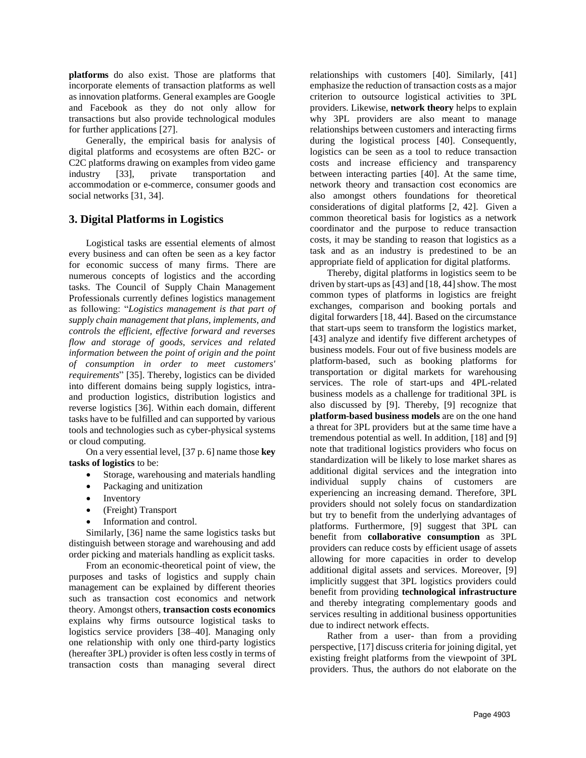**platforms** do also exist. Those are platforms that incorporate elements of transaction platforms as well as innovation platforms. General examples are Google and Facebook as they do not only allow for transactions but also provide technological modules for further applications [27].

Generally, the empirical basis for analysis of digital platforms and ecosystems are often B2C- or C2C platforms drawing on examples from video game industry [33], private transportation and accommodation or e-commerce, consumer goods and social networks [31, 34].

## **3. Digital Platforms in Logistics**

Logistical tasks are essential elements of almost every business and can often be seen as a key factor for economic success of many firms. There are numerous concepts of logistics and the according tasks. The Council of Supply Chain Management Professionals currently defines logistics management as following: "*Logistics management is that part of supply chain management that plans, implements, and controls the efficient, effective forward and reverses flow and storage of goods, services and related information between the point of origin and the point of consumption in order to meet customers' requirements*" [35]. Thereby, logistics can be divided into different domains being supply logistics, intraand production logistics, distribution logistics and reverse logistics [36]. Within each domain, different tasks have to be fulfilled and can supported by various tools and technologies such as cyber-physical systems or cloud computing.

On a very essential level, [37 p. 6] name those **key tasks of logistics** to be:

- Storage, warehousing and materials handling
- Packaging and unitization
- **Inventory**
- (Freight) Transport
- Information and control.

Similarly, [36] name the same logistics tasks but distinguish between storage and warehousing and add order picking and materials handling as explicit tasks.

From an economic-theoretical point of view, the purposes and tasks of logistics and supply chain management can be explained by different theories such as transaction cost economics and network theory. Amongst others, **transaction costs economics** explains why firms outsource logistical tasks to logistics service providers [38–40]. Managing only one relationship with only one third-party logistics (hereafter 3PL) provider is often less costly in terms of transaction costs than managing several direct relationships with customers [40]. Similarly, [41] emphasize the reduction of transaction costs as a major criterion to outsource logistical activities to 3PL providers. Likewise, **network theory** helps to explain why 3PL providers are also meant to manage relationships between customers and interacting firms during the logistical process [40]. Consequently, logistics can be seen as a tool to reduce transaction costs and increase efficiency and transparency between interacting parties [40]. At the same time, network theory and transaction cost economics are also amongst others foundations for theoretical considerations of digital platforms [2, 42]. Given a common theoretical basis for logistics as a network coordinator and the purpose to reduce transaction costs, it may be standing to reason that logistics as a task and as an industry is predestined to be an appropriate field of application for digital platforms.

Thereby, digital platforms in logistics seem to be driven by start-ups as  $[43]$  and  $[18, 44]$  show. The most common types of platforms in logistics are freight exchanges, comparison and booking portals and digital forwarders [18, 44]. Based on the circumstance that start-ups seem to transform the logistics market, [43] analyze and identify five different archetypes of business models. Four out of five business models are platform-based, such as booking platforms for transportation or digital markets for warehousing services. The role of start-ups and 4PL-related business models as a challenge for traditional 3PL is also discussed by [9]. Thereby, [9] recognize that **platform-based business models** are on the one hand a threat for 3PL providers but at the same time have a tremendous potential as well. In addition, [18] and [9] note that traditional logistics providers who focus on standardization will be likely to lose market shares as additional digital services and the integration into individual supply chains of customers are experiencing an increasing demand. Therefore, 3PL providers should not solely focus on standardization but try to benefit from the underlying advantages of platforms. Furthermore, [9] suggest that 3PL can benefit from **collaborative consumption** as 3PL providers can reduce costs by efficient usage of assets allowing for more capacities in order to develop additional digital assets and services. Moreover, [9] implicitly suggest that 3PL logistics providers could benefit from providing **technological infrastructure** and thereby integrating complementary goods and services resulting in additional business opportunities due to indirect network effects.

Rather from a user- than from a providing perspective, [17] discuss criteria for joining digital, yet existing freight platforms from the viewpoint of 3PL providers. Thus, the authors do not elaborate on the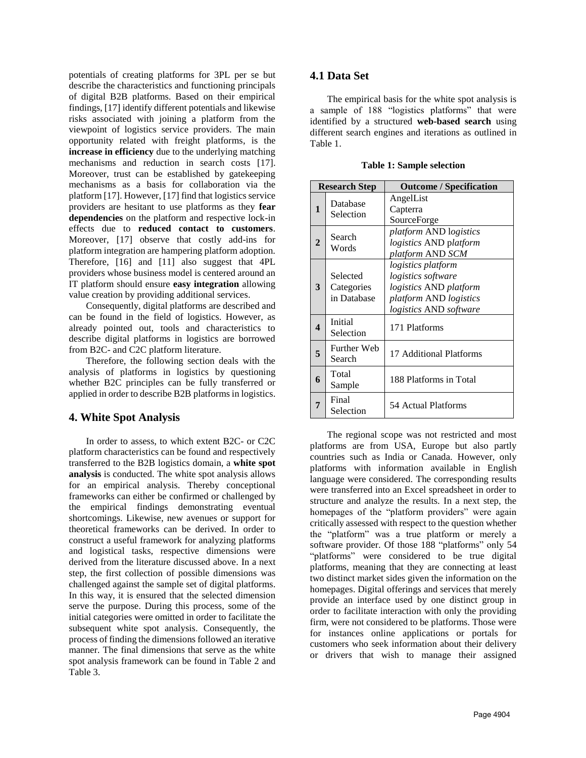potentials of creating platforms for 3PL per se but describe the characteristics and functioning principals of digital B2B platforms. Based on their empirical findings, [17] identify different potentials and likewise risks associated with joining a platform from the viewpoint of logistics service providers. The main opportunity related with freight platforms, is the **increase in efficiency** due to the underlying matching mechanisms and reduction in search costs [17]. Moreover, trust can be established by gatekeeping mechanisms as a basis for collaboration via the platform [17]. However, [17] find that logistics service providers are hesitant to use platforms as they **fear dependencies** on the platform and respective lock-in effects due to **reduced contact to customers**. Moreover, [17] observe that costly add-ins for platform integration are hampering platform adoption. Therefore, [16] and [11] also suggest that 4PL providers whose business model is centered around an IT platform should ensure **easy integration** allowing value creation by providing additional services.

Consequently, digital platforms are described and can be found in the field of logistics. However, as already pointed out, tools and characteristics to describe digital platforms in logistics are borrowed from B2C- and C2C platform literature.

Therefore, the following section deals with the analysis of platforms in logistics by questioning whether B2C principles can be fully transferred or applied in order to describe B2B platforms in logistics.

## **4. White Spot Analysis**

In order to assess, to which extent B2C- or C2C platform characteristics can be found and respectively transferred to the B2B logistics domain, a **white spot analysis** is conducted. The white spot analysis allows for an empirical analysis. Thereby conceptional frameworks can either be confirmed or challenged by the empirical findings demonstrating eventual shortcomings. Likewise, new avenues or support for theoretical frameworks can be derived. In order to construct a useful framework for analyzing platforms and logistical tasks, respective dimensions were derived from the literature discussed above. In a next step, the first collection of possible dimensions was challenged against the sample set of digital platforms. In this way, it is ensured that the selected dimension serve the purpose. During this process, some of the initial categories were omitted in order to facilitate the subsequent white spot analysis. Consequently, the process of finding the dimensions followed an iterative manner. The final dimensions that serve as the white spot analysis framework can be found in [Table 2](#page-4-0) and [Table 3.](#page-4-1) 

#### **4.1 Data Set**

The empirical basis for the white spot analysis is a sample of 188 "logistics platforms" that were identified by a structured **web-based search** using different search engines and iterations as outlined in [Table 1.](#page-3-0) 

**Table 1: Sample selection**

<span id="page-3-0"></span>

| <b>Research Step</b> |                                       | <b>Outcome / Specification</b>                                                                                                                     |  |  |  |
|----------------------|---------------------------------------|----------------------------------------------------------------------------------------------------------------------------------------------------|--|--|--|
| $\mathbf{1}$         | Database<br>Selection                 | AngelList<br>Capterra<br>SourceForge                                                                                                               |  |  |  |
| 2                    | Search<br>Words                       | platform AND logistics<br>logistics AND platform<br>platform AND SCM                                                                               |  |  |  |
| 3                    | Selected<br>Categories<br>in Database | logistics platform<br><i>logistics software</i><br>logistics AND platform<br><i>platform AND logistics</i><br><i>logistics</i> AND <i>software</i> |  |  |  |
| $\boldsymbol{4}$     | Initial<br>Selection                  | 171 Platforms                                                                                                                                      |  |  |  |
| 5                    | Further Web<br>Search                 | 17 Additional Platforms                                                                                                                            |  |  |  |
| 6                    | Total<br>Sample                       | 188 Platforms in Total                                                                                                                             |  |  |  |
|                      | Final<br>Selection                    | 54 Actual Platforms                                                                                                                                |  |  |  |

The regional scope was not restricted and most platforms are from USA, Europe but also partly countries such as India or Canada. However, only platforms with information available in English language were considered. The corresponding results were transferred into an Excel spreadsheet in order to structure and analyze the results. In a next step, the homepages of the "platform providers" were again critically assessed with respect to the question whether the "platform" was a true platform or merely a software provider. Of those 188 "platforms" only 54 "platforms" were considered to be true digital platforms, meaning that they are connecting at least two distinct market sides given the information on the homepages. Digital offerings and services that merely provide an interface used by one distinct group in order to facilitate interaction with only the providing firm, were not considered to be platforms. Those were for instances online applications or portals for customers who seek information about their delivery or drivers that wish to manage their assigned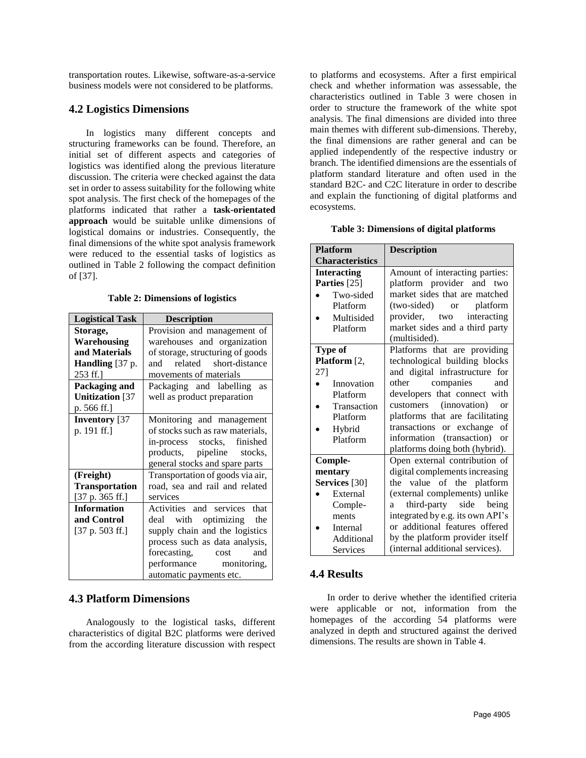transportation routes. Likewise, software-as-a-service business models were not considered to be platforms.

## **4.2 Logistics Dimensions**

In logistics many different concepts and structuring frameworks can be found. Therefore, an initial set of different aspects and categories of logistics was identified along the previous literature discussion. The criteria were checked against the data set in order to assess suitability for the following white spot analysis. The first check of the homepages of the platforms indicated that rather a **task-orientated approach** would be suitable unlike dimensions of logistical domains or industries. Consequently, the final dimensions of the white spot analysis framework were reduced to the essential tasks of logistics as outlined in [Table 2](#page-4-0) following the compact definition of [37].

**Table 2: Dimensions of logistics**

<span id="page-4-0"></span>

| <b>Logistical Task</b>                          | <b>Description</b>               |  |  |  |  |
|-------------------------------------------------|----------------------------------|--|--|--|--|
| Storage,                                        | Provision and management of      |  |  |  |  |
| Warehousing                                     | warehouses and organization      |  |  |  |  |
| and Materials                                   | of storage, structuring of goods |  |  |  |  |
| Handling [37 p.                                 | related short-distance<br>and    |  |  |  |  |
| 253 ff.]                                        | movements of materials           |  |  |  |  |
| Packaging and                                   | Packaging and labelling<br>as    |  |  |  |  |
| <b>Unitization</b> [37                          | well as product preparation      |  |  |  |  |
| p. 566 ff.]                                     |                                  |  |  |  |  |
| <b>Inventory</b> [37                            | Monitoring and management        |  |  |  |  |
| p. 191 ff.]<br>of stocks such as raw materials, |                                  |  |  |  |  |
|                                                 | in-process stocks, finished      |  |  |  |  |
|                                                 | products, pipeline<br>stocks.    |  |  |  |  |
|                                                 | general stocks and spare parts   |  |  |  |  |
| (Freight)                                       | Transportation of goods via air, |  |  |  |  |
| <b>Transportation</b>                           | road, sea and rail and related   |  |  |  |  |
| [37 p. 365 ff.]                                 | services                         |  |  |  |  |
| <b>Information</b>                              | Activities and services<br>that  |  |  |  |  |
| and Control                                     | with optimizing<br>deal<br>the   |  |  |  |  |
| [37 p. 503 ff.]                                 | supply chain and the logistics   |  |  |  |  |
|                                                 | process such as data analysis,   |  |  |  |  |
|                                                 | forecasting, cost<br>and         |  |  |  |  |
|                                                 | performance monitoring,          |  |  |  |  |
|                                                 | automatic payments etc.          |  |  |  |  |

# **4.3 Platform Dimensions**

Analogously to the logistical tasks, different characteristics of digital B2C platforms were derived from the according literature discussion with respect

to platforms and ecosystems. After a first empirical check and whether information was assessable, the characteristics outlined in [Table 3](#page-4-1) were chosen in order to structure the framework of the white spot analysis. The final dimensions are divided into three main themes with different sub-dimensions. Thereby, the final dimensions are rather general and can be applied independently of the respective industry or branch. The identified dimensions are the essentials of platform standard literature and often used in the standard B2C- and C2C literature in order to describe and explain the functioning of digital platforms and ecosystems.

<span id="page-4-1"></span>

| <b>Platform</b>          | <b>Description</b>                         |  |  |  |
|--------------------------|--------------------------------------------|--|--|--|
| <b>Characteristics</b>   |                                            |  |  |  |
| <b>Interacting</b>       | Amount of interacting parties:             |  |  |  |
| Parties [25]             | platform provider and two                  |  |  |  |
| Two-sided                | market sides that are matched              |  |  |  |
| Platform                 | (two-sided) or<br>platform                 |  |  |  |
| Multisided               | provider, two interacting                  |  |  |  |
| Platform                 | market sides and a third party             |  |  |  |
|                          | (multisided).                              |  |  |  |
| <b>Type of</b>           | Platforms that are providing               |  |  |  |
| Platform [2,             | technological building blocks              |  |  |  |
| 27]                      | and digital infrastructure for             |  |  |  |
| Innovation               | other companies<br>and                     |  |  |  |
| Platform                 | developers that connect with               |  |  |  |
| Transaction              | customers (innovation)<br>or               |  |  |  |
| Platform                 | platforms that are facilitating            |  |  |  |
| Hybrid                   | transactions or exchange<br>of             |  |  |  |
| Platform                 | information (transaction)<br><sub>or</sub> |  |  |  |
|                          | platforms doing both (hybrid).             |  |  |  |
| Comple-                  | Open external contribution of              |  |  |  |
| mentary                  | digital complements increasing             |  |  |  |
| Services <sup>[30]</sup> | the value of the platform                  |  |  |  |
| External                 | (external complements) unlike              |  |  |  |
| Comple-                  | third-party side being<br>a                |  |  |  |
| ments                    | integrated by e.g. its own API's           |  |  |  |
| Internal                 | or additional features offered             |  |  |  |
| Additional               | by the platform provider itself            |  |  |  |
| Services                 | (internal additional services).            |  |  |  |

# **4.4 Results**

In order to derive whether the identified criteria were applicable or not, information from the homepages of the according 54 platforms were analyzed in depth and structured against the derived dimensions. The results are shown in [Table 4.](#page-5-0)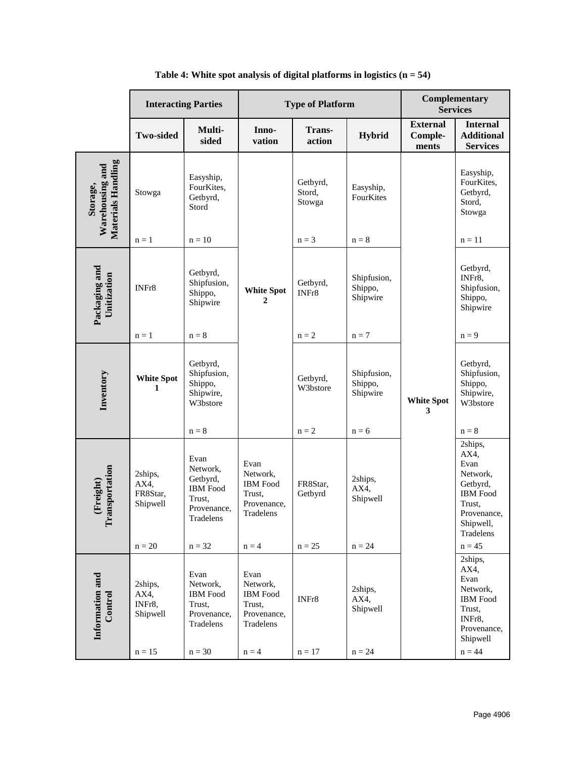<span id="page-5-0"></span>

|                                                   | <b>Interacting Parties</b>              |                                                                                       | <b>Type of Platform</b>                                                   |                              |                                    | Complementary<br><b>Services</b>    |                                                                                                                       |
|---------------------------------------------------|-----------------------------------------|---------------------------------------------------------------------------------------|---------------------------------------------------------------------------|------------------------------|------------------------------------|-------------------------------------|-----------------------------------------------------------------------------------------------------------------------|
|                                                   | <b>Two-sided</b>                        | Multi-<br>sided                                                                       | Inno-<br>vation                                                           | <b>Trans-</b><br>action      | <b>Hybrid</b>                      | <b>External</b><br>Comple-<br>ments | <b>Internal</b><br><b>Additional</b><br><b>Services</b>                                                               |
| Materials Handling<br>Warehousing and<br>Storage, | Stowga                                  | Easyship,<br>FourKites,<br>Getbyrd,<br>Stord                                          |                                                                           | Getbyrd,<br>Stord,<br>Stowga | Easyship,<br>FourKites             |                                     | Easyship,<br>FourKites,<br>Getbyrd,<br>Stord,<br>Stowga                                                               |
|                                                   | $n = 1$                                 | $n = 10$                                                                              | White Spot<br>$\mathbf{2}$                                                | $n = 3$                      | $n = 8$                            | <b>White Spot</b><br>3              | $n = 11$                                                                                                              |
| Packaging and<br>Unitization                      | INFr8                                   | Getbyrd,<br>Shipfusion,<br>Shippo,<br>Shipwire                                        |                                                                           | Getbyrd,<br>INFr8            | Shipfusion,<br>Shippo,<br>Shipwire |                                     | Getbyrd,<br>INFr8,<br>Shipfusion,<br>Shippo,<br>Shipwire                                                              |
|                                                   | $n = 1$                                 | $\mathbf{n} = \mathbf{8}$                                                             |                                                                           | $\mathbf{n} = 2$             | $n = 7$                            |                                     | $n = 9$                                                                                                               |
| Inventory                                         | <b>White Spot</b><br>1                  | Getbyrd,<br>Shipfusion,<br>Shippo,<br>Shipwire,<br>W3bstore                           |                                                                           | Getbyrd,<br>W3bstore         | Shipfusion,<br>Shippo,<br>Shipwire |                                     | Getbyrd,<br>Shipfusion,<br>Shippo,<br>Shipwire,<br>W3bstore                                                           |
|                                                   |                                         | $n = 8$                                                                               |                                                                           | $\mathbf{n}=2$               | $n = 6$                            |                                     | $n = 8$                                                                                                               |
| cansportation<br>(Freight)<br>A                   | 2ships,<br>AX4,<br>FR8Star,<br>Shipwell | Evan<br>Network,<br>Getbyrd,<br><b>IBM</b> Food<br>Trust,<br>Provenance,<br>Tradelens | Evan<br>Network,<br><b>IBM</b> Food<br>Trust.<br>Provenance,<br>Tradelens | FR8Star,<br>Getbyrd          | 2ships,<br>AX4,<br>Shipwell        |                                     | 2ships,<br>AX4,<br>Evan<br>Network,<br>Getbyrd,<br><b>IBM</b> Food<br>Trust,<br>Provenance,<br>Shipwell,<br>Tradelens |
|                                                   | $n = 20$                                | $n = 32$                                                                              | $n = 4$                                                                   | $n = 25$                     | $n = 24$                           |                                     | $n = 45$<br>2ships,                                                                                                   |
| Information and<br>Control                        | 2ships,<br>AX4,<br>INFr8,<br>Shipwell   | Evan<br>Network,<br><b>IBM</b> Food<br>Trust,<br>Provenance,<br>Tradelens             | Evan<br>Network,<br><b>IBM</b> Food<br>Trust,<br>Provenance,<br>Tradelens | INFr8                        | 2ships,<br>AX4,<br>Shipwell        |                                     | AX4,<br>Evan<br>Network,<br><b>IBM</b> Food<br>Trust,<br>INFr8,<br>Provenance,<br>Shipwell                            |
|                                                   | $n = 15$                                | $n = 30$                                                                              | $n = 4$                                                                   | $n = 17$                     | $n = 24$                           |                                     | $n = 44$                                                                                                              |

## **Table 4: White spot analysis of digital platforms in logistics (n = 54)**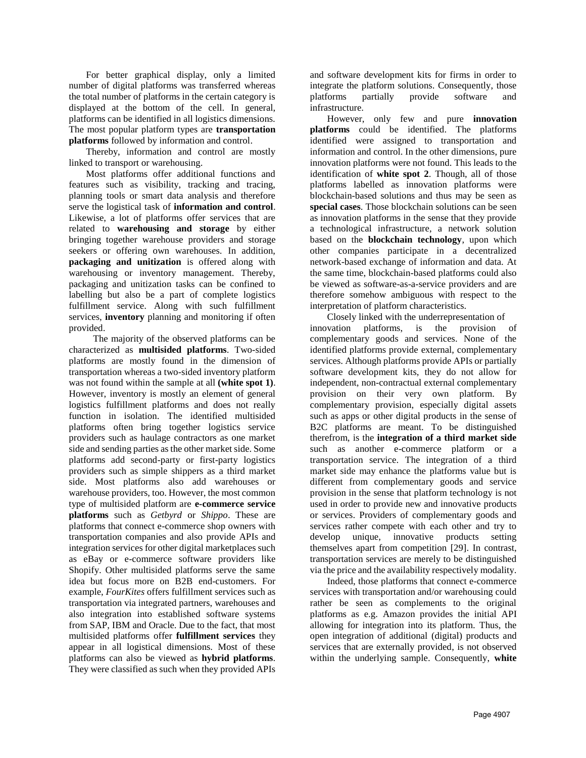For better graphical display, only a limited number of digital platforms was transferred whereas the total number of platforms in the certain category is displayed at the bottom of the cell. In general, platforms can be identified in all logistics dimensions. The most popular platform types are **transportation platforms** followed by information and control.

Thereby, information and control are mostly linked to transport or warehousing.

Most platforms offer additional functions and features such as visibility, tracking and tracing, planning tools or smart data analysis and therefore serve the logistical task of **information and control**. Likewise, a lot of platforms offer services that are related to **warehousing and storage** by either bringing together warehouse providers and storage seekers or offering own warehouses. In addition, **packaging and unitization** is offered along with warehousing or inventory management. Thereby, packaging and unitization tasks can be confined to labelling but also be a part of complete logistics fulfillment service. Along with such fulfillment services, **inventory** planning and monitoring if often provided.

 The majority of the observed platforms can be characterized as **multisided platforms**. Two-sided platforms are mostly found in the dimension of transportation whereas a two-sided inventory platform was not found within the sample at all **(white spot 1)**. However, inventory is mostly an element of general logistics fulfillment platforms and does not really function in isolation. The identified multisided platforms often bring together logistics service providers such as haulage contractors as one market side and sending parties as the other market side. Some platforms add second-party or first-party logistics providers such as simple shippers as a third market side. Most platforms also add warehouses or warehouse providers, too. However, the most common type of multisided platform are **e-commerce service platforms** such as *Getbyrd* or *Shippo*. These are platforms that connect e-commerce shop owners with transportation companies and also provide APIs and integration services for other digital marketplaces such as eBay or e-commerce software providers like Shopify. Other multisided platforms serve the same idea but focus more on B2B end-customers. For example, *FourKites* offers fulfillment services such as transportation via integrated partners, warehouses and also integration into established software systems from SAP, IBM and Oracle. Due to the fact, that most multisided platforms offer **fulfillment services** they appear in all logistical dimensions. Most of these platforms can also be viewed as **hybrid platforms**. They were classified as such when they provided APIs

and software development kits for firms in order to integrate the platform solutions. Consequently, those platforms partially provide software and infrastructure.

However, only few and pure **innovation platforms** could be identified. The platforms identified were assigned to transportation and information and control. In the other dimensions, pure innovation platforms were not found. This leads to the identification of **white spot 2**. Though, all of those platforms labelled as innovation platforms were blockchain-based solutions and thus may be seen as **special cases**. Those blockchain solutions can be seen as innovation platforms in the sense that they provide a technological infrastructure, a network solution based on the **blockchain technology**, upon which other companies participate in a decentralized network-based exchange of information and data. At the same time, blockchain-based platforms could also be viewed as software-as-a-service providers and are therefore somehow ambiguous with respect to the interpretation of platform characteristics.

Closely linked with the underrepresentation of innovation platforms, is the provision of complementary goods and services. None of the identified platforms provide external, complementary services. Although platforms provide APIs or partially software development kits, they do not allow for independent, non-contractual external complementary provision on their very own platform. By complementary provision, especially digital assets such as apps or other digital products in the sense of B2C platforms are meant. To be distinguished therefrom, is the **integration of a third market side** such as another e-commerce platform or a transportation service. The integration of a third market side may enhance the platforms value but is different from complementary goods and service provision in the sense that platform technology is not used in order to provide new and innovative products or services. Providers of complementary goods and services rather compete with each other and try to develop unique, innovative products setting themselves apart from competition [29]. In contrast, transportation services are merely to be distinguished via the price and the availability respectively modality.

Indeed, those platforms that connect e-commerce services with transportation and/or warehousing could rather be seen as complements to the original platforms as e.g. Amazon provides the initial API allowing for integration into its platform. Thus, the open integration of additional (digital) products and services that are externally provided, is not observed within the underlying sample. Consequently, **white**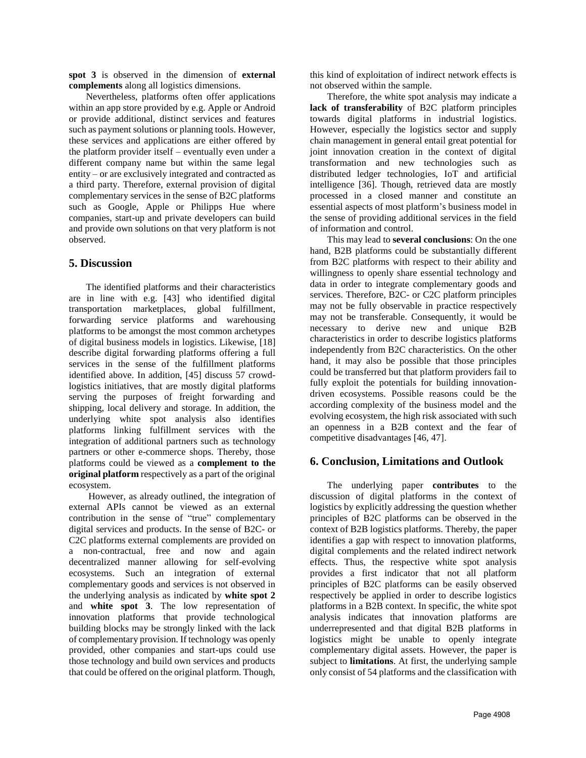**spot 3** is observed in the dimension of **external complements** along all logistics dimensions.

Nevertheless, platforms often offer applications within an app store provided by e.g. Apple or Android or provide additional, distinct services and features such as payment solutions or planning tools. However, these services and applications are either offered by the platform provider itself – eventually even under a different company name but within the same legal entity – or are exclusively integrated and contracted as a third party. Therefore, external provision of digital complementary services in the sense of B2C platforms such as Google, Apple or Philipps Hue where companies, start-up and private developers can build and provide own solutions on that very platform is not observed.

## **5. Discussion**

The identified platforms and their characteristics are in line with e.g. [43] who identified digital transportation marketplaces, global fulfillment, forwarding service platforms and warehousing platforms to be amongst the most common archetypes of digital business models in logistics. Likewise, [18] describe digital forwarding platforms offering a full services in the sense of the fulfillment platforms identified above. In addition, [45] discuss 57 crowdlogistics initiatives, that are mostly digital platforms serving the purposes of freight forwarding and shipping, local delivery and storage. In addition, the underlying white spot analysis also identifies platforms linking fulfillment services with the integration of additional partners such as technology partners or other e-commerce shops. Thereby, those platforms could be viewed as a **complement to the original platform** respectively as a part of the original ecosystem.

However, as already outlined, the integration of external APIs cannot be viewed as an external contribution in the sense of "true" complementary digital services and products. In the sense of B2C- or C2C platforms external complements are provided on a non-contractual, free and now and again decentralized manner allowing for self-evolving ecosystems. Such an integration of external complementary goods and services is not observed in the underlying analysis as indicated by **white spot 2** and **white spot 3**. The low representation of innovation platforms that provide technological building blocks may be strongly linked with the lack of complementary provision. If technology was openly provided, other companies and start-ups could use those technology and build own services and products that could be offered on the original platform. Though,

this kind of exploitation of indirect network effects is not observed within the sample.

Therefore, the white spot analysis may indicate a **lack of transferability** of B2C platform principles towards digital platforms in industrial logistics. However, especially the logistics sector and supply chain management in general entail great potential for joint innovation creation in the context of digital transformation and new technologies such as distributed ledger technologies, IoT and artificial intelligence [36]. Though, retrieved data are mostly processed in a closed manner and constitute an essential aspects of most platform's business model in the sense of providing additional services in the field of information and control.

This may lead to **several conclusions**: On the one hand, B2B platforms could be substantially different from B2C platforms with respect to their ability and willingness to openly share essential technology and data in order to integrate complementary goods and services. Therefore, B2C- or C2C platform principles may not be fully observable in practice respectively may not be transferable. Consequently, it would be necessary to derive new and unique B2B characteristics in order to describe logistics platforms independently from B2C characteristics. On the other hand, it may also be possible that those principles could be transferred but that platform providers fail to fully exploit the potentials for building innovationdriven ecosystems. Possible reasons could be the according complexity of the business model and the evolving ecosystem, the high risk associated with such an openness in a B2B context and the fear of competitive disadvantages [46, 47].

## **6. Conclusion, Limitations and Outlook**

The underlying paper **contributes** to the discussion of digital platforms in the context of logistics by explicitly addressing the question whether principles of B2C platforms can be observed in the context of B2B logistics platforms. Thereby, the paper identifies a gap with respect to innovation platforms, digital complements and the related indirect network effects. Thus, the respective white spot analysis provides a first indicator that not all platform principles of B2C platforms can be easily observed respectively be applied in order to describe logistics platforms in a B2B context. In specific, the white spot analysis indicates that innovation platforms are underrepresented and that digital B2B platforms in logistics might be unable to openly integrate complementary digital assets. However, the paper is subject to **limitations**. At first, the underlying sample only consist of 54 platforms and the classification with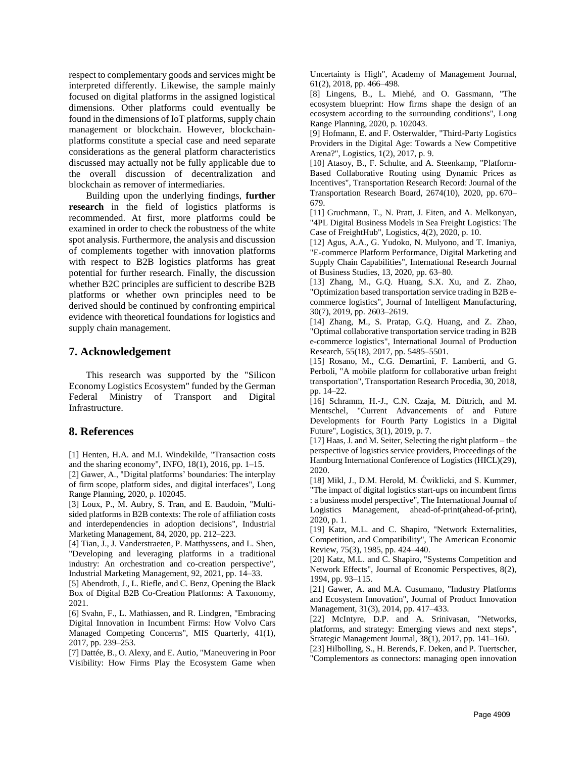respect to complementary goods and services might be interpreted differently. Likewise, the sample mainly focused on digital platforms in the assigned logistical dimensions. Other platforms could eventually be found in the dimensions of IoT platforms, supply chain management or blockchain. However, blockchainplatforms constitute a special case and need separate considerations as the general platform characteristics discussed may actually not be fully applicable due to the overall discussion of decentralization and blockchain as remover of intermediaries.

Building upon the underlying findings, **further research** in the field of logistics platforms is recommended. At first, more platforms could be examined in order to check the robustness of the white spot analysis. Furthermore, the analysis and discussion of complements together with innovation platforms with respect to B2B logistics platforms has great potential for further research. Finally, the discussion whether B2C principles are sufficient to describe B2B platforms or whether own principles need to be derived should be continued by confronting empirical evidence with theoretical foundations for logistics and supply chain management.

#### **7. Acknowledgement**

This research was supported by the "Silicon Economy Logistics Ecosystem" funded by the German Federal Ministry of Transport and Digital Infrastructure.

#### **8. References**

[1] Henten, H.A. and M.I. Windekilde, "Transaction costs and the sharing economy", INFO, 18(1), 2016, pp. 1–15.

[2] Gawer, A., "Digital platforms' boundaries: The interplay of firm scope, platform sides, and digital interfaces", Long Range Planning, 2020, p. 102045.

[3] Loux, P., M. Aubry, S. Tran, and E. Baudoin, "Multisided platforms in B2B contexts: The role of affiliation costs and interdependencies in adoption decisions", Industrial Marketing Management, 84, 2020, pp. 212–223.

[4] Tian, J., J. Vanderstraeten, P. Matthyssens, and L. Shen, "Developing and leveraging platforms in a traditional industry: An orchestration and co-creation perspective", Industrial Marketing Management, 92, 2021, pp. 14–33.

[5] Abendroth, J., L. Riefle, and C. Benz, Opening the Black Box of Digital B2B Co-Creation Platforms: A Taxonomy, 2021.

[6] Svahn, F., L. Mathiassen, and R. Lindgren, "Embracing Digital Innovation in Incumbent Firms: How Volvo Cars Managed Competing Concerns", MIS Quarterly, 41(1), 2017, pp. 239–253.

[7] Dattée, B., O. Alexy, and E. Autio, "Maneuvering in Poor Visibility: How Firms Play the Ecosystem Game when Uncertainty is High", Academy of Management Journal, 61(2), 2018, pp. 466–498.

[8] Lingens, B., L. Miehé, and O. Gassmann, "The ecosystem blueprint: How firms shape the design of an ecosystem according to the surrounding conditions", Long Range Planning, 2020, p. 102043.

[9] Hofmann, E. and F. Osterwalder, "Third-Party Logistics Providers in the Digital Age: Towards a New Competitive Arena?", Logistics, 1(2), 2017, p. 9.

[10] Atasoy, B., F. Schulte, and A. Steenkamp, "Platform-Based Collaborative Routing using Dynamic Prices as Incentives", Transportation Research Record: Journal of the Transportation Research Board, 2674(10), 2020, pp. 670– 679.

[11] Gruchmann, T., N. Pratt, J. Eiten, and A. Melkonyan, "4PL Digital Business Models in Sea Freight Logistics: The Case of FreightHub", Logistics, 4(2), 2020, p. 10.

[12] Agus, A.A., G. Yudoko, N. Mulyono, and T. Imaniya, "E-commerce Platform Performance, Digital Marketing and Supply Chain Capabilities", International Research Journal of Business Studies, 13, 2020, pp. 63–80.

[13] Zhang, M., G.Q. Huang, S.X. Xu, and Z. Zhao, "Optimization based transportation service trading in B2B ecommerce logistics", Journal of Intelligent Manufacturing, 30(7), 2019, pp. 2603–2619.

[14] Zhang, M., S. Pratap, G.Q. Huang, and Z. Zhao, "Optimal collaborative transportation service trading in B2B e-commerce logistics", International Journal of Production Research, 55(18), 2017, pp. 5485–5501.

[15] Rosano, M., C.G. Demartini, F. Lamberti, and G. Perboli, "A mobile platform for collaborative urban freight transportation", Transportation Research Procedia, 30, 2018, pp. 14–22.

[16] Schramm, H.-J., C.N. Czaja, M. Dittrich, and M. Mentschel, "Current Advancements of and Future Developments for Fourth Party Logistics in a Digital Future", Logistics, 3(1), 2019, p. 7.

[17] Haas, J. and M. Seiter, Selecting the right platform – the perspective of logistics service providers, Proceedings of the Hamburg International Conference of Logistics (HICL)(29), 2020.

[18] Mikl, J., D.M. Herold, M. Ćwiklicki, and S. Kummer, "The impact of digital logistics start-ups on incumbent firms : a business model perspective", The International Journal of Logistics Management, ahead-of-print(ahead-of-print), 2020, p. 1.

[19] Katz, M.L. and C. Shapiro, "Network Externalities, Competition, and Compatibility", The American Economic Review, 75(3), 1985, pp. 424–440.

[20] Katz, M.L. and C. Shapiro, "Systems Competition and Network Effects", Journal of Economic Perspectives, 8(2), 1994, pp. 93–115.

[21] Gawer, A. and M.A. Cusumano, "Industry Platforms and Ecosystem Innovation", Journal of Product Innovation Management, 31(3), 2014, pp. 417–433.

[22] McIntyre, D.P. and A. Srinivasan, "Networks, platforms, and strategy: Emerging views and next steps", Strategic Management Journal, 38(1), 2017, pp. 141–160.

[23] Hilbolling, S., H. Berends, F. Deken, and P. Tuertscher, "Complementors as connectors: managing open innovation